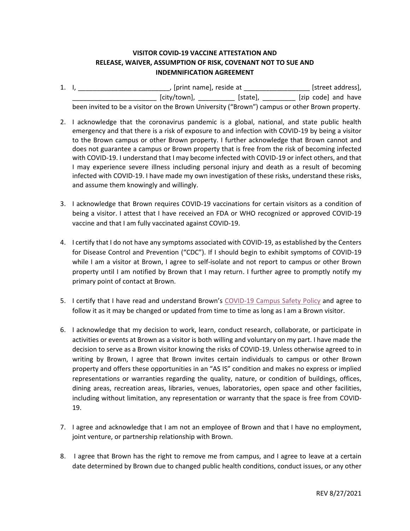## **VISITOR COVID-19 VACCINE ATTESTATION AND RELEASE, WAIVER, ASSUMPTION OF RISK, COVENANT NOT TO SUE AND INDEMNIFICATION AGREEMENT**

- 1. I, \_\_\_\_\_\_\_\_\_\_\_\_\_\_\_\_\_\_\_\_\_\_\_\_\_\_\_\_\_, [print name], reside at \_\_\_\_\_\_\_\_\_\_\_\_\_\_\_\_\_\_\_\_\_ [street address], \_\_\_\_\_\_\_\_\_\_\_\_\_\_\_\_\_\_\_\_\_\_\_ [city/town], \_\_\_\_\_\_\_\_\_\_ [state], \_\_\_\_\_\_\_\_\_ [zip code] and have been invited to be a visitor on the Brown University ("Brown") campus or other Brown property.
- 2. I acknowledge that the coronavirus pandemic is a global, national, and state public health emergency and that there is a risk of exposure to and infection with COVID-19 by being a visitor to the Brown campus or other Brown property. I further acknowledge that Brown cannot and does not guarantee a campus or Brown property that is free from the risk of becoming infected with COVID-19. I understand that I may become infected with COVID-19 or infect others, and that I may experience severe illness including personal injury and death as a result of becoming infected with COVID-19. I have made my own investigation of these risks, understand these risks, and assume them knowingly and willingly.
- 3. I acknowledge that Brown requires COVID-19 vaccinations for certain visitors as a condition of being a visitor. I attest that I have received an FDA or WHO recognized or approved COVID-19 vaccine and that I am fully vaccinated against COVID-19.
- 4. I certify that I do not have any symptoms associated with COVID-19, as established by the Centers for Disease Control and Prevention ("CDC"). If I should begin to exhibit symptoms of COVID-19 while I am a visitor at Brown, I agree to self-isolate and not report to campus or other Brown property until I am notified by Brown that I may return. I further agree to promptly notify my primary point of contact at Brown.
- 5. I certify that I have read and understand Brown's [COVID-19 Campus Safety Policy](https://policy.brown.edu/policy/covid-19) and agree to follow it as it may be changed or updated from time to time as long as I am a Brown visitor.
- 6. I acknowledge that my decision to work, learn, conduct research, collaborate, or participate in activities or events at Brown as a visitor is both willing and voluntary on my part. I have made the decision to serve as a Brown visitor knowing the risks of COVID-19. Unless otherwise agreed to in writing by Brown, I agree that Brown invites certain individuals to campus or other Brown property and offers these opportunities in an "AS IS" condition and makes no express or implied representations or warranties regarding the quality, nature, or condition of buildings, offices, dining areas, recreation areas, libraries, venues, laboratories, open space and other facilities, including without limitation, any representation or warranty that the space is free from COVID-19.
- 7. I agree and acknowledge that I am not an employee of Brown and that I have no employment, joint venture, or partnership relationship with Brown.
- 8. I agree that Brown has the right to remove me from campus, and I agree to leave at a certain date determined by Brown due to changed public health conditions, conduct issues, or any other